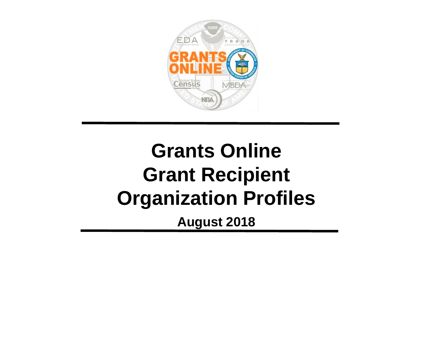

### **Grants Online Grant Recipient Organization Profiles August 2018**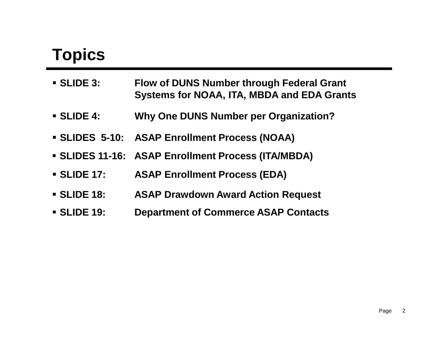#### **Topics**

| <b>SLIDE 3:</b>  | <b>Flow of DUNS Number through Federal Grant</b><br><b>Systems for NOAA, ITA, MBDA and EDA Grants</b> |
|------------------|-------------------------------------------------------------------------------------------------------|
| <b>SLIDE 4:</b>  | <b>Why One DUNS Number per Organization?</b>                                                          |
|                  | • SLIDES 5-10: ASAP Enrollment Process (NOAA)                                                         |
|                  | • SLIDES 11-16: ASAP Enrollment Process (ITA/MBDA)                                                    |
| <b>SLIDE 17:</b> | <b>ASAP Enrollment Process (EDA)</b>                                                                  |
| <b>SLIDE 18:</b> | <b>ASAP Drawdown Award Action Request</b>                                                             |
| <b>SLIDE 19:</b> | <b>Department of Commerce ASAP Contacts</b>                                                           |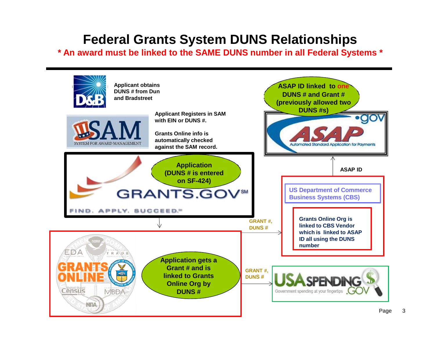#### **Federal Grants System DUNS Relationships**

**\* An award must be linked to the SAME DUNS number in all Federal Systems \***

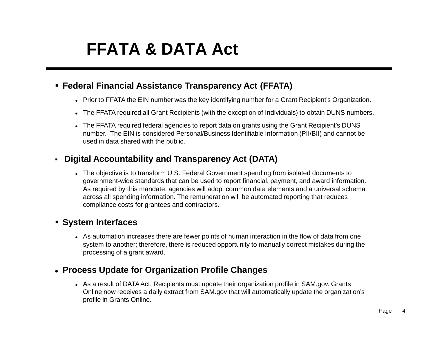#### **FFATA & DATA Act**

#### **Federal Financial Assistance Transparency Act (FFATA)**

- Prior to FFATA the EIN number was the key identifying number for a Grant Recipient's Organization.
- The FFATA required all Grant Recipients (with the exception of Individuals) to obtain DUNS numbers.
- The FFATA required federal agencies to report data on grants using the Grant Recipient's DUNS number. The EIN is considered Personal/Business Identifiable Information (PII/BII) and cannot be used in data shared with the public.

#### **Digital Accountability and Transparency Act (DATA)**

 The objective is to transform U.S. Federal Government spending from isolated documents to government-wide standards that can be used to report financial, payment, and award information. As required by this mandate, agencies will adopt common data elements and a universal schema across all spending information. The remuneration will be automated reporting that reduces compliance costs for grantees and contractors.

#### **System Interfaces**

 As automation increases there are fewer points of human interaction in the flow of data from one system to another; therefore, there is reduced opportunity to manually correct mistakes during the processing of a grant award.

#### **Process Update for Organization Profile Changes**

 As a result of DATA Act, Recipients must update their organization profile in SAM.gov. Grants Online now receives a daily extract from SAM.gov that will automatically update the organization's profile in Grants Online.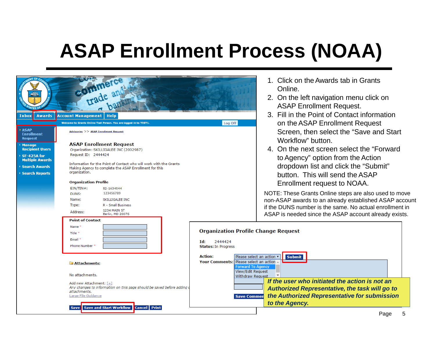| <b>Awards</b><br>Inbox                                                                                                                                                                  | commerce<br><b>Account Management</b><br>Heln<br>Welcome to Grants Online Test Person. You are logged in to TEST1.                                                                                                                                                                                                                                                                                                                                                                                                  | 1. Click on the Awards tab in Grants<br>Online.<br>2. On the left navigation menu click on<br><b>ASAP Enrollment Request.</b><br>3. Fill in the Point of Contact information<br>on the ASAP Enrollment Request<br>Log Off                                                                                                                                                                                                                                                                         |
|-----------------------------------------------------------------------------------------------------------------------------------------------------------------------------------------|---------------------------------------------------------------------------------------------------------------------------------------------------------------------------------------------------------------------------------------------------------------------------------------------------------------------------------------------------------------------------------------------------------------------------------------------------------------------------------------------------------------------|---------------------------------------------------------------------------------------------------------------------------------------------------------------------------------------------------------------------------------------------------------------------------------------------------------------------------------------------------------------------------------------------------------------------------------------------------------------------------------------------------|
| <b>ASAP</b><br><b>Enrollment</b><br><b>Request</b><br><b>Manage</b><br><b>Recipient Users</b><br>SF-425A for<br><b>Multiple Awards</b><br><b>Search Awards</b><br><b>Search Reports</b> | Advisories >> ASAP Enrollment Request<br><b>ASAP Enrollment Request</b><br>Organization: SKILLIGALEE INC (2002987)<br>Request ID: 2444424<br>Information for the Point of Contact who will work with the Grants<br>Making Agency to complete the ASAP Enrollment for this<br>organization.<br><b>Organization Profile</b><br>$EIN/TIN#$ :<br>52-1634544<br>123456789<br>DUNS:<br>Name:<br>SKILLIGALEE INC<br>Type:<br>R - Small Business<br>1234 MAIN ST<br>Address:<br>Berlin, MD 20076<br><b>Point of Contact</b> | Screen, then select the "Save and Start"<br>Workflow" button.<br>4. On the next screen select the "Forward"<br>to Agency" option from the Action<br>dropdown list and click the "Submit"<br>button. This will send the ASAP<br>Enrollment request to NOAA.<br>NOTE: These Grants Online steps are also used to move<br>non-ASAP awards to an already established ASAP account<br>if the DUNS number is the same. No actual enrollment in<br>ASAP is needed since the ASAP account already exists. |
|                                                                                                                                                                                         | Name<br>Title *<br>Fmail<br><b>Phone Number</b><br>Attachments:<br>No attachments.<br>Add new Attachment: $[+]$<br>Any changes to information on this page should be saved before adding<br>attachments.<br>Large File Guidance<br><b>Cancel</b> Print<br><b>Save and Start Workflow</b><br><b>Save</b>                                                                                                                                                                                                             | <b>Organization Profile Change Request</b><br>Id:<br>2444424<br><b>Status: In Progress</b><br><b>Action:</b><br>Please select an action v<br><b>Submit</b><br>Your Comments: Please select an action<br><b>Forward To Agency</b><br>View/Edit Request<br>Withdraw Request<br>If the user who initiated the action is not an<br><b>Authorized Representative, the task will go to</b><br>the Authorized Representative for submission<br><b>Save Commen</b><br>to the Agency.                      |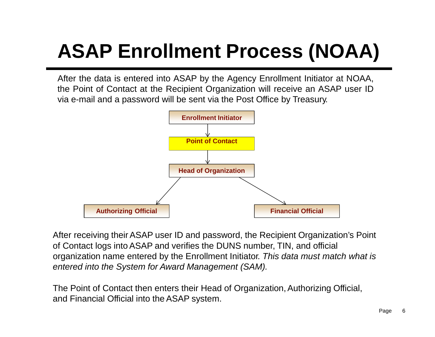After the data is entered into ASAP by the Agency Enrollment Initiator at NOAA, the Point of Contact at the Recipient Organization will receive an ASAP user ID via e-mail and a password will be sent via the Post Office by Treasury.



After receiving their ASAP user ID and password, the Recipient Organization's Point of Contact logs intoASAP and verifies the DUNS number, TIN, and official organization name entered by the Enrollment Initiator. *This data must match what is entered into the System for Award Management (SAM).*

The Point of Contact then enters their Head of Organization, Authorizing Official, and Financial Official into the ASAP system.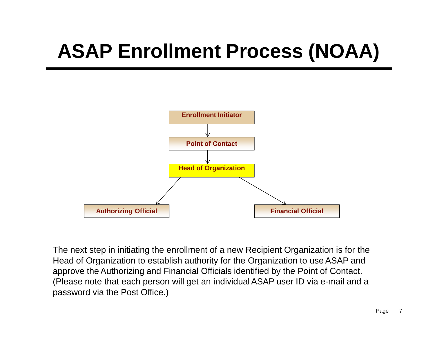

The next step in initiating the enrollment of a new Recipient Organization is for the Head of Organization to establish authority for the Organization to use ASAP and approve the Authorizing and Financial Officials identified by the Point of Contact. (Please note that each person will get an individualASAP user ID via e-mail and a password via the Post Office.)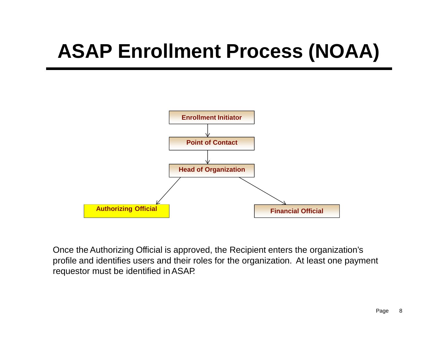

Once the Authorizing Official is approved, the Recipient enters the organization's profile and identifies users and their roles for the organization. At least one payment requestor must be identified inASAP.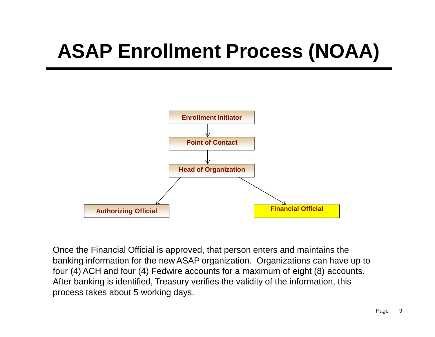

Once the Financial Official is approved, that person enters and maintains the banking information for the new ASAP organization. Organizations can have up to four (4) ACH and four (4) Fedwire accounts for a maximum of eight (8) accounts. After banking is identified, Treasury verifies the validity of the information, this process takes about 5 working days.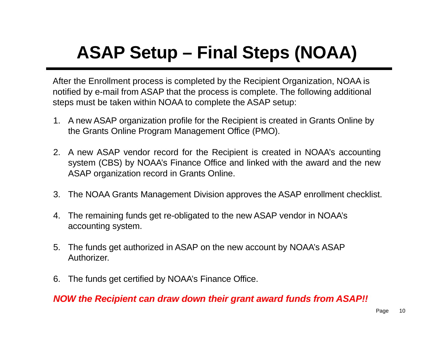#### **ASAP Setup – Final Steps (NOAA)**

After the Enrollment process is completed by the Recipient Organization, NOAA is notified by e-mail from ASAP that the process is complete. The following additional steps must be taken within NOAA to complete the ASAP setup:

- 1. A new ASAP organization profile for the Recipient is created in Grants Online by the Grants Online Program Management Office (PMO).
- 2. A new ASAP vendor record for the Recipient is created in NOAA's accounting system (CBS) by NOAA's Finance Office and linked with the award and the new ASAP organization record in Grants Online.
- 3. The NOAA Grants Management Division approves the ASAP enrollment checklist.
- 4. The remaining funds get re-obligated to the new ASAP vendor in NOAA's accounting system.
- 5. The funds get authorized in ASAP on the new account by NOAA's ASAP Authorizer.
- 6. The funds get certified by NOAA's Finance Office.

*NOW the Recipient can draw down their grant award funds from ASAP!!*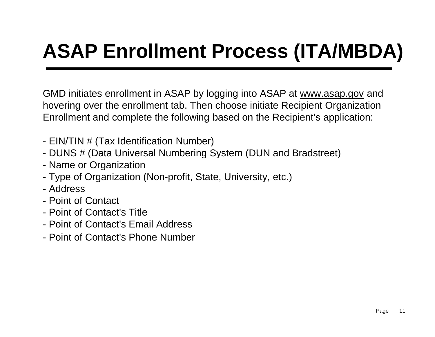GMD initiates enrollment in ASAP by logging into ASAP at [www.asap.gov](http://www.asap.gov/) and hovering over the enrollment tab. Then choose initiate Recipient Organization Enrollment and complete the following based on the Recipient's application:

- EIN/TIN # (Tax Identification Number)
- DUNS # (Data Universal Numbering System (DUN and Bradstreet)
- Name or Organization
- Type of Organization (Non-profit, State, University, etc.)
- Address
- Point of Contact
- Point of Contact's Title
- Point of Contact's Email Address
- Point of Contact's Phone Number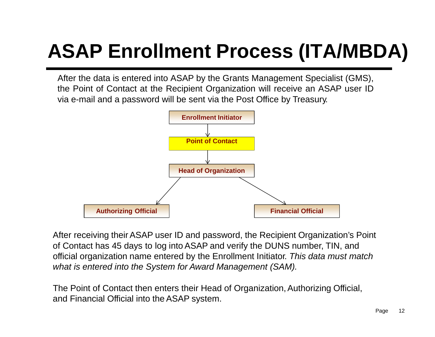After the data is entered into ASAP by the Grants Management Specialist (GMS), the Point of Contact at the Recipient Organization will receive an ASAP user ID via e-mail and a password will be sent via the Post Office by Treasury.



After receiving their ASAP user ID and password, the Recipient Organization's Point of Contact has 45 days to log intoASAP and verify the DUNS number, TIN, and official organization name entered by the Enrollment Initiator. *This data must match what is entered into the System for Award Management (SAM).*

The Point of Contact then enters their Head of Organization, Authorizing Official, and Financial Official into the ASAP system.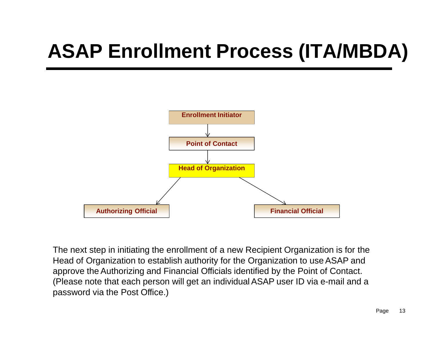

The next step in initiating the enrollment of a new Recipient Organization is for the Head of Organization to establish authority for the Organization to use ASAP and approve the Authorizing and Financial Officials identified by the Point of Contact. (Please note that each person will get an individualASAP user ID via e-mail and a password via the Post Office.)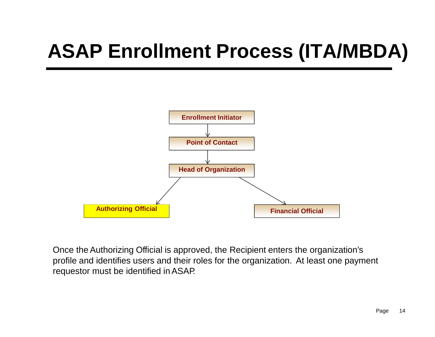

Once the Authorizing Official is approved, the Recipient enters the organization's profile and identifies users and their roles for the organization. At least one payment requestor must be identified inASAP.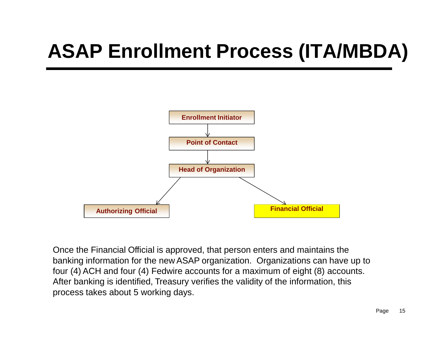

Once the Financial Official is approved, that person enters and maintains the banking information for the new ASAP organization. Organizations can have up to four (4) ACH and four (4) Fedwire accounts for a maximum of eight (8) accounts. After banking is identified, Treasury verifies the validity of the information, this process takes about 5 working days.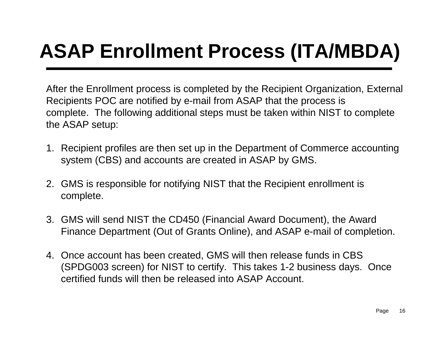After the Enrollment process is completed by the Recipient Organization, External Recipients POC are notified by e-mail from ASAP that the process is complete. The following additional steps must be taken within NIST to complete the ASAP setup:

- 1. Recipient profiles are then set up in the Department of Commerce accounting system (CBS) and accounts are created in ASAP by GMS.
- 2. GMS is responsible for notifying NIST that the Recipient enrollment is complete.
- 3. GMS will send NIST the CD450 (Financial Award Document), the Award Finance Department (Out of Grants Online), and ASAP e-mail of completion.
- 4. Once account has been created, GMS will then release funds in CBS (SPDG003 screen) for NIST to certify. This takes 1-2 business days. Once certified funds will then be released into ASAP Account.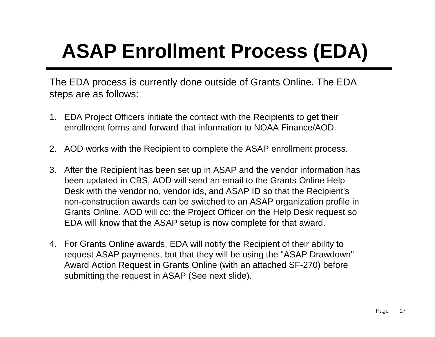The EDA process is currently done outside of Grants Online. The EDA steps are as follows:

- 1. EDA Project Officers initiate the contact with the Recipients to get their enrollment forms and forward that information to NOAA Finance/AOD.
- 2. AOD works with the Recipient to complete the ASAP enrollment process.
- 3. After the Recipient has been set up in ASAP and the vendor information has been updated in CBS, AOD will send an email to the Grants Online Help Desk with the vendor no, vendor ids, and ASAP ID so that the Recipient's non-construction awards can be switched to an ASAP organization profile in Grants Online. AOD will cc: the Project Officer on the Help Desk request so EDA will know that the ASAP setup is now complete for that award.
- 4. For Grants Online awards, EDA will notify the Recipient of their ability to request ASAP payments, but that they will be using the "ASAP Drawdown" Award Action Request in Grants Online (with an attached SF-270) before submitting the request in ASAP (See next slide).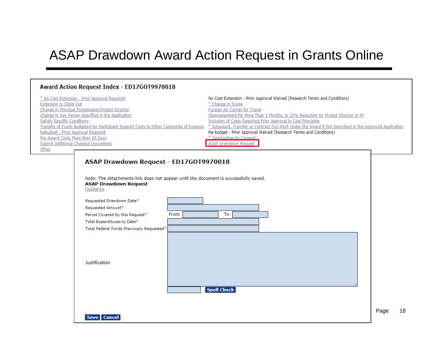#### ASAP Drawdown Award Action Request in Grants Online

|                                                                                                                                                                                                        | Award Action Request Index - ED17G0T9970018                                                                                                                                                                                                        |                                                                                                                                                                                                                                                                                                                                                                                                                                                                                                                                   |      |    |
|--------------------------------------------------------------------------------------------------------------------------------------------------------------------------------------------------------|----------------------------------------------------------------------------------------------------------------------------------------------------------------------------------------------------------------------------------------------------|-----------------------------------------------------------------------------------------------------------------------------------------------------------------------------------------------------------------------------------------------------------------------------------------------------------------------------------------------------------------------------------------------------------------------------------------------------------------------------------------------------------------------------------|------|----|
| <b>Extension to Close Out</b><br><b>Satisfy Specific Conditions</b><br>Rebudget - Prior Approval Required<br>Pre-Award Costs More than 90 Days<br><b>Submit Additional Closeout Documents</b><br>Other | * No Cost Extension - Prior Approval Required<br>Change in Principal Investigator/Project Director<br>Change in Key Person Specified in the Application<br>Transfer of Funds Budgeted for Participant Support Costs to Other Categories of Expense | No Cost Extension - Prior Approval Waived (Research Terms and Conditions)<br>* Change in Scope<br>Foreign Air Carrier for Travel<br>Disengagement for More Than 3 Months, or 25% Reduction by Project Director or PI<br>Inclusion of Costs Requiring Prior Approval in Cost Principles<br>* Subaward, Transfer or Contract Out Work Under the Award if Not Described in the Approved Application<br>Re-budget - Prior Approval Waived (Research Terms and Conditions)<br>* Termination by Consent<br><b>ASAP Drawdown Request</b> |      |    |
|                                                                                                                                                                                                        | ASAP Drawdown Request - ED17G0T9970018                                                                                                                                                                                                             |                                                                                                                                                                                                                                                                                                                                                                                                                                                                                                                                   |      |    |
|                                                                                                                                                                                                        | Note: The Attachments link does not appear until the document is successfully saved.<br><b>ASAP Drawdown Request</b><br>Guidance                                                                                                                   |                                                                                                                                                                                                                                                                                                                                                                                                                                                                                                                                   |      |    |
|                                                                                                                                                                                                        | Requested Drawdown Date*<br>Requested Amount*<br>From<br>Period Covered by this Request*<br>Total Expenditures to Date*<br>Total Federal Funds Previously Requested*                                                                               | То                                                                                                                                                                                                                                                                                                                                                                                                                                                                                                                                |      |    |
|                                                                                                                                                                                                        | Justification                                                                                                                                                                                                                                      |                                                                                                                                                                                                                                                                                                                                                                                                                                                                                                                                   |      |    |
|                                                                                                                                                                                                        |                                                                                                                                                                                                                                                    | <b>Spell Check</b>                                                                                                                                                                                                                                                                                                                                                                                                                                                                                                                |      |    |
|                                                                                                                                                                                                        | Save Cancel                                                                                                                                                                                                                                        |                                                                                                                                                                                                                                                                                                                                                                                                                                                                                                                                   | Page | 18 |